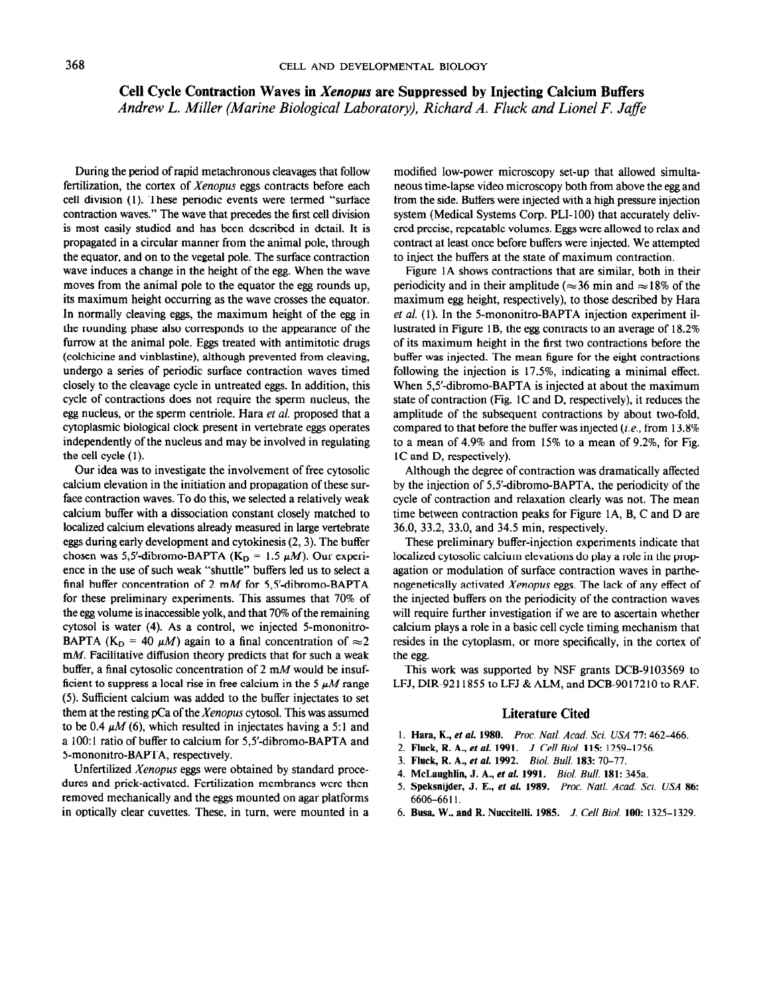## Cell Cycle Contraction Waves in Xenopus are Suppressed by Injecting Calcium Buffers Andrew L. Miller (Marine Biological Laboratory), Richard A. Fluck and Lionel F. Jafe

During the period of rapid metachronous cleavages that follow fertilization, the cortex of Xenopus eggs contracts before each cell division (1). These periodic events were termed "surface contraction waves." The wave that precedes the first cell division is most easily studied and has been described in detail. It is propagated in a circular manner from the animal pole, through the equator, and on to the vegetal pole. The surface contraction wave induces a change in the height of the egg. When the wave moves from the animal pole to the equator the egg rounds up, its maximum height occurring as the wave crosses the equator. In normally cleaving eggs, the maximum height of the egg in the rounding phase also corresponds to the appearance of the furrow at the animal pole. Eggs treated with antimitotic drugs (colchicine and vinblastine), although prevented from cleaving, undergo a series of periodic surface contraction waves timed closely to the cleavage cycle in untreated eggs. In addition, this cycle of contractions does not require the sperm nucleus, the egg nucleus, or the sperm centriole. Hara et al. proposed that a cytoplasmic biological clock present in vertebrate eggs operates independently of the nucleus and may be involved in regulating the cell cycle (1).

Our idea was to investigate the involvement of free cytosolic calcium elevation in the initiation and propagation of these surface contraction waves. To do this, we selected a relatively weak calcium buffer with a dissociation constant closely matched to localized calcium elevations already measured in large vertebrate eggs during early development and cytokinesis (2,3). The buffer chosen was 5,5'-dibromo-BAPTA ( $K_D = 1.5 \mu M$ ). Our experience in the use of such weak "shuttle" buffers led us to select a final buffer concentration of 2 mM for 5,5'-dibromo-BAPTA for these preliminary experiments. This assumes that 70% of the egg volume is inaccessible yolk, and that 70% of the remaining cytosol is water (4). As a control, we injected 5-mononitro- $B$ APTA (K, = 40  $M$ ) again to a final concentration of  $\sim$  2 DAT TA  $(0.6)$  = 40  $\mu$ *M* j again to a mial concentration of  $\approx$  2  $h(x)$  a generative university concentration of 2 m  $M_{\text{cyc}}$  d be insufbunct, a mial cylosone concentration of  $2 \text{ m/s}$  would be firstficient to suppress a local rise in free calcium in the  $5 \mu M$  range (5). Sufficient calcium was added to the buffer injectates to set  $t_{\text{obs}}$  sumerche calculum was added to the buner injectates to set them at the resulte pc a of the *Aenopus* cytosof. This was assumed in  $\frac{1}{2}$ to be 0.4  $\mu$ M (6), which resulted in injectates having a 5:1 and a 100:1 ratio of buffer to calcium for 5,5'-dibromo-BAPTA and 5-mononitro-BAPTA, respectively.

Unfertilized Xenopus eggs were obtained by standard procedures and prick-activated. Fertilization membranes were then removed mechanically and the eggs mounted on agar platforms in optically clear cuvettes. These, in turn, were mounted in a modified low-power microscopy set-up that allowed simultaneous time-lapse video microscopy both from above the egg and from the side. Buffers were injected with a high pressure injection system (Medical Systems Corp. PLI- 100) that accurately delivered precise, repeatable volumes. Eggs were allowed to relax and contract at least once before buffers were injected. We attempted to inject the buffers at the state of maximum contraction.

Figure 1A shows contractions that are similar, both in their periodicity and in their amplitude ( $\approx$ 36 min and  $\approx$ 18% of the maximum egg height, respectively), to those described by Hara et al. (1). In the 5-mononitro-BAPTA injection experiment illustrated in Figure 1B, the egg contracts to an average of 18.2% of its maximum height in the first two contractions before the buffer was injected. The mean figure for the eight contractions following the injection is 17.5%, indicating a minimal effect. When 5,5'-dibromo-BAPTA is injected at about the maximum state of contraction (Fig. 1C and D, respectively), it reduces the amplitude of the subsequent contractions by about two-fold, compared to that before the buffer was injected (i.e., from 13.8% to a mean of 4.9% and from 15% to a mean of 9.2%, for Fig. 1C and D, respectively).

Although the degree of contraction was dramatically affected by the injection of 5,5'-dibromo-BAPTA, the periodicity of the cycle of contraction and relaxation clearly was not. The mean time between contraction peaks for Figure lA, B, C and D are 36.0, 33.2, 33.0, and 34.5 min, respectively.

These preliminary buffer-injection experiments indicate that localized cytosolic calcium elevations do play a role in the propagation or modulation of surface contraction waves in parthenogenetically activated Xenopus eggs. The lack of any effect of nogenements activated *henopis* eggs. The fack of any enect of will require build on the periodicity of the contraction waves will require further investigation if we are to ascertain whether calcium plays a role in a basic cell cycle timing mechanism that resides in the cytoplasm, or more specifically, in the center of the egg. This work was supported by NSF grants DCB-9103569 to

THIS WOIK WAS SUPPORTED BY TYST BLAINS DUD-9103309 TO

## Literature Cited

- 1. Hara, K., et al. 1980. Proc. National Acad. Sci. USA 71: 462-466. Proc. National Acad. Sci. USA 71: 462-466 1. **Fluth, R., et al. 1960.**  $\Gamma$ *FIOC. INdit. Acad. Sci. USA 11*: 4
- 2. Fluck, R. A., et al. 1991. J. Cell Biol. 115: 1259-1256.
- 3. Fluck, R. A., et al. 1992. Biol. Bull. 183: 70-77.
- 4. McLaughlin, J. A., et al. 1991. Biol. Bull. 181: 345a.
- 5. Speksnijder, J. E., et al. 1989. Proc. Natl. Acad. Sci. USA 86: 6606-6611.
- 6. Busa, W., and R. Nuccitelli. 1985. J. Cell Biol. 100: 1325-1329.